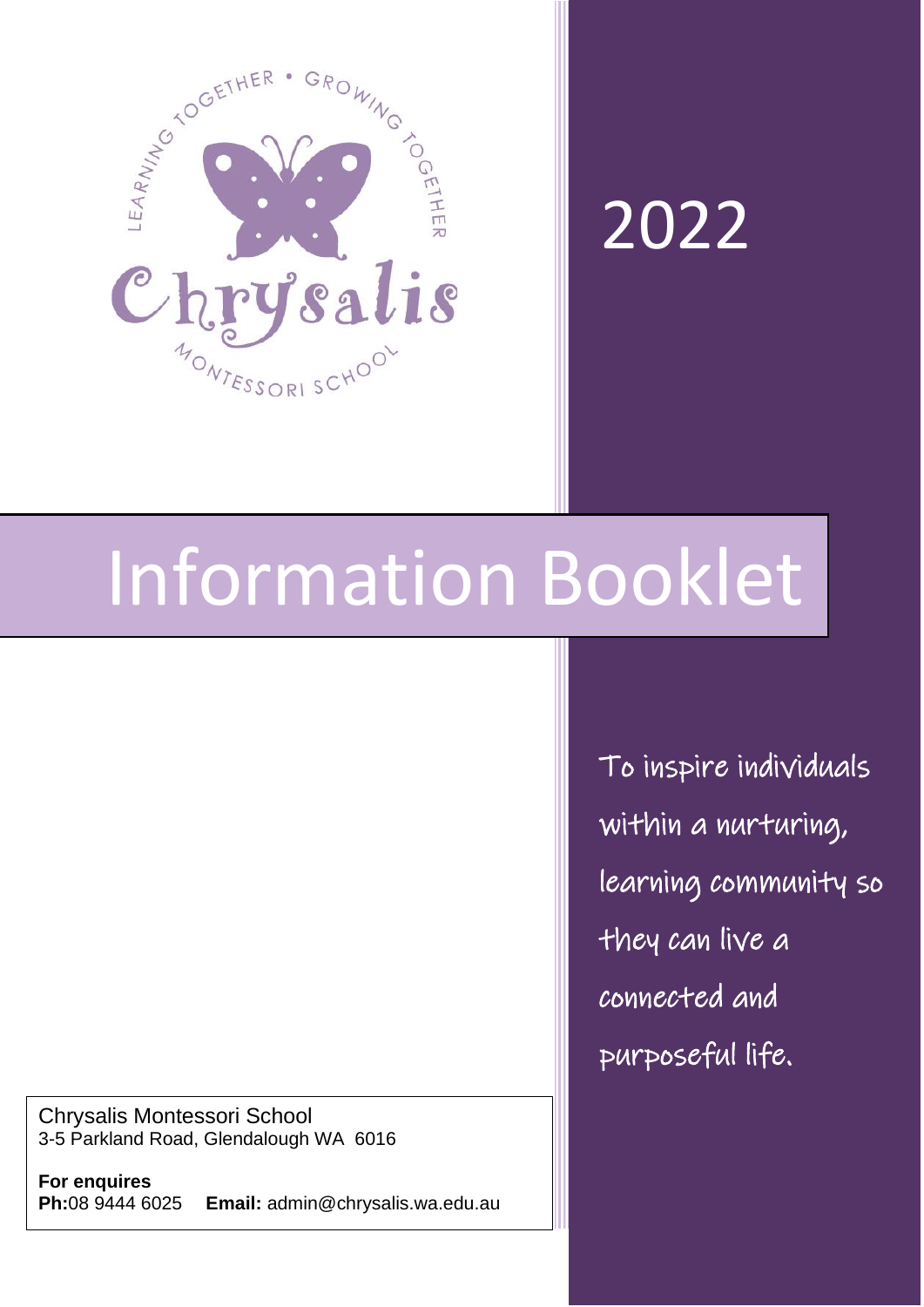

# 2022

# Information Booklet

Chrysalis Montessori School 3-5 Parkland Road, Glendalough WA 6016

**For enquires Ph:**08 9444 6025 **Email:** admin@chrysalis.wa.edu.au To inspire individuals within a nurturing, learning community so they can live a connected and purposeful life.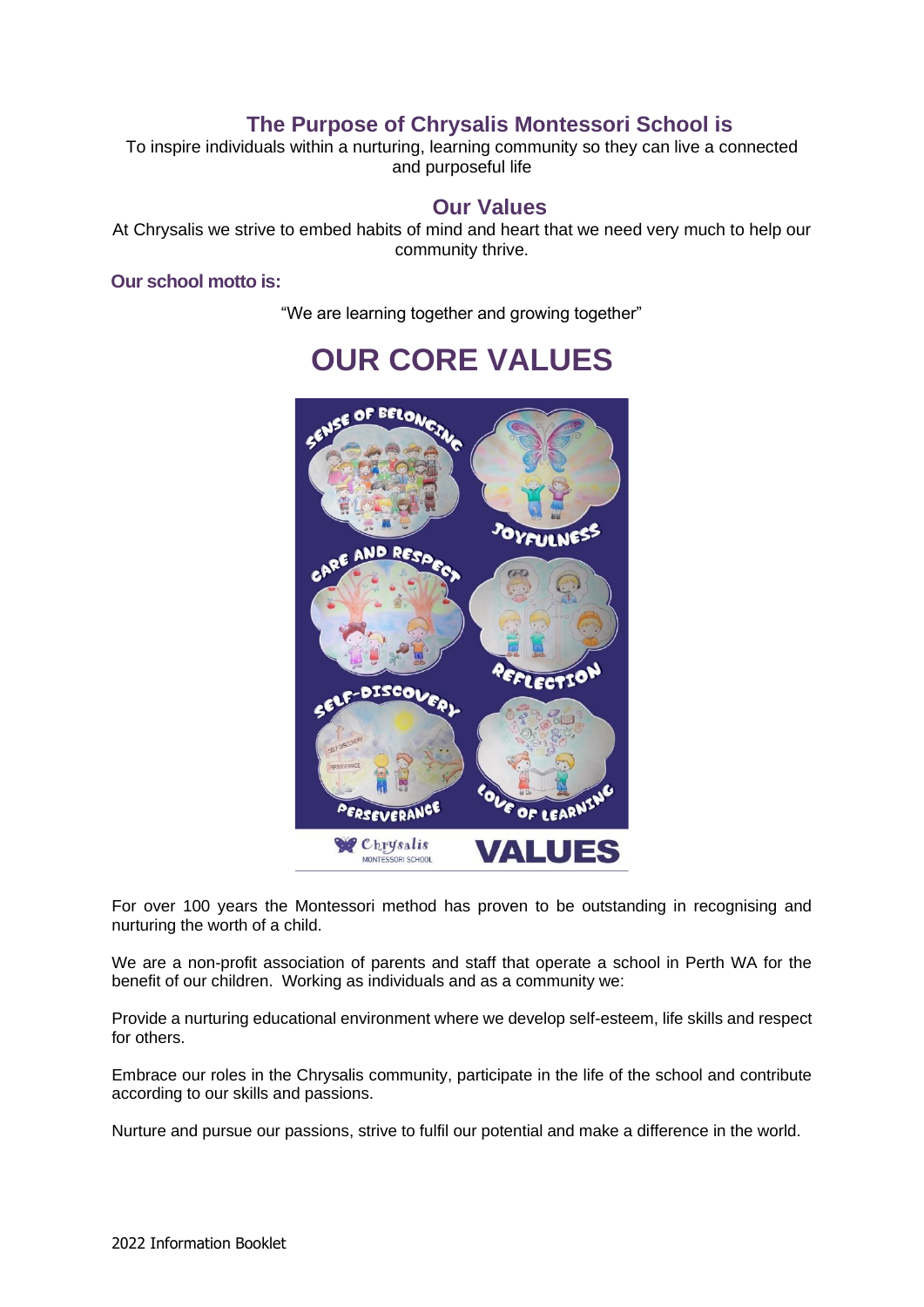### **The Purpose of Chrysalis Montessori School is**

To inspire individuals within a nurturing, learning community so they can live a connected and purposeful life

#### **Our Values**

At Chrysalis we strive to embed habits of mind and heart that we need very much to help our community thrive.

#### **Our school motto is:**

"We are learning together and growing together"



# **OUR CORE VALUES**

For over 100 years the Montessori method has proven to be outstanding in recognising and nurturing the worth of a child.

We are a non-profit association of parents and staff that operate a school in Perth WA for the benefit of our children. Working as individuals and as a community we:

Provide a nurturing educational environment where we develop self-esteem, life skills and respect for others.

Embrace our roles in the Chrysalis community, participate in the life of the school and contribute according to our skills and passions.

Nurture and pursue our passions, strive to fulfil our potential and make a difference in the world.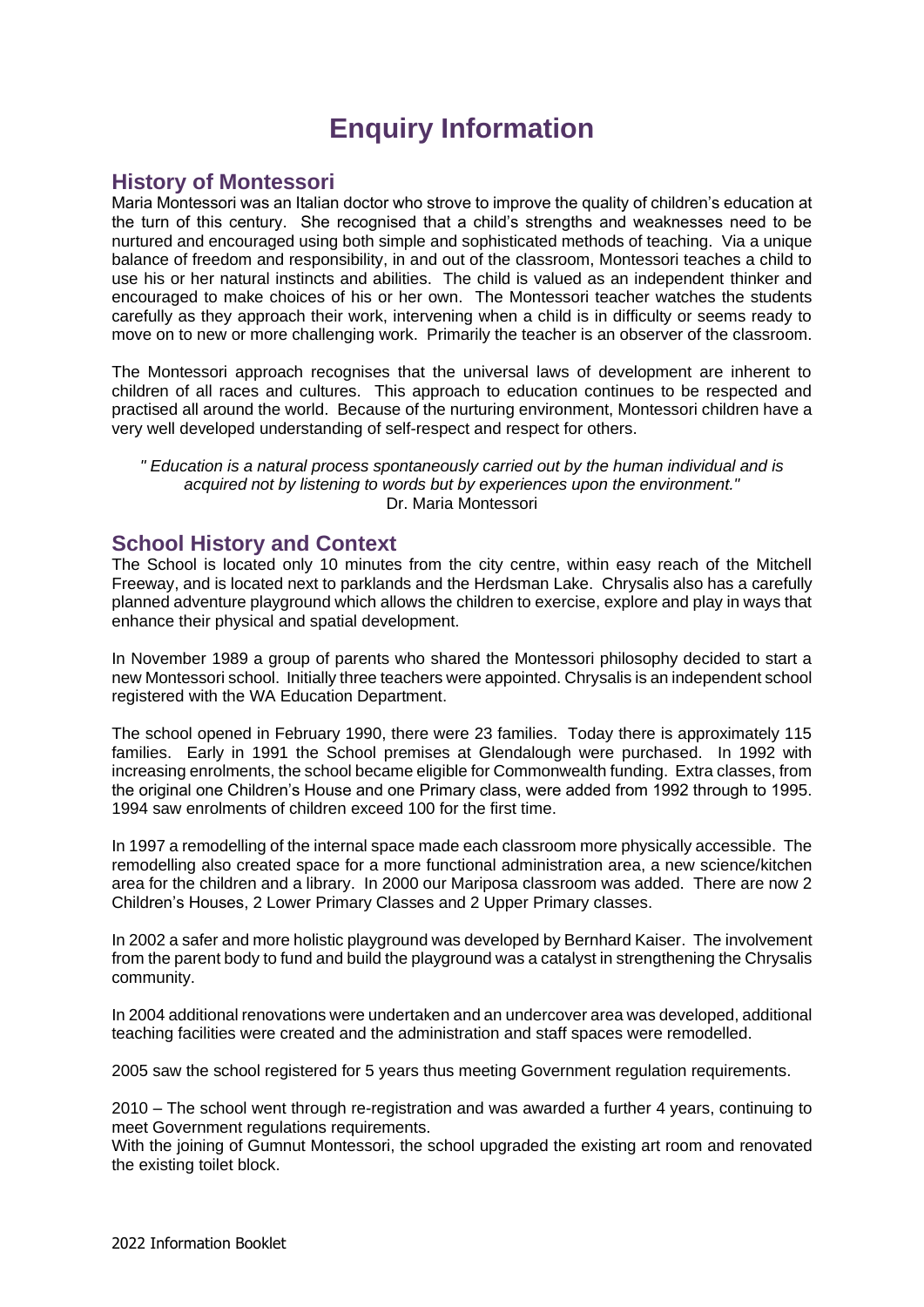## **Enquiry Information**

#### **History of Montessori**

Maria Montessori was an Italian doctor who strove to improve the quality of children's education at the turn of this century. She recognised that a child's strengths and weaknesses need to be nurtured and encouraged using both simple and sophisticated methods of teaching. Via a unique balance of freedom and responsibility, in and out of the classroom, Montessori teaches a child to use his or her natural instincts and abilities. The child is valued as an independent thinker and encouraged to make choices of his or her own. The Montessori teacher watches the students carefully as they approach their work, intervening when a child is in difficulty or seems ready to move on to new or more challenging work. Primarily the teacher is an observer of the classroom.

The Montessori approach recognises that the universal laws of development are inherent to children of all races and cultures. This approach to education continues to be respected and practised all around the world. Because of the nurturing environment, Montessori children have a very well developed understanding of self-respect and respect for others.

*" Education is a natural process spontaneously carried out by the human individual and is acquired not by listening to words but by experiences upon the environment."* Dr. Maria Montessori

#### **School History and Context**

The School is located only 10 minutes from the city centre, within easy reach of the Mitchell Freeway, and is located next to parklands and the Herdsman Lake. Chrysalis also has a carefully planned adventure playground which allows the children to exercise, explore and play in ways that enhance their physical and spatial development.

In November 1989 a group of parents who shared the Montessori philosophy decided to start a new Montessori school. Initially three teachers were appointed. Chrysalis is an independent school registered with the WA Education Department.

The school opened in February 1990, there were 23 families. Today there is approximately 115 families. Early in 1991 the School premises at Glendalough were purchased. In 1992 with increasing enrolments, the school became eligible for Commonwealth funding. Extra classes, from the original one Children's House and one Primary class, were added from 1992 through to 1995. 1994 saw enrolments of children exceed 100 for the first time.

In 1997 a remodelling of the internal space made each classroom more physically accessible. The remodelling also created space for a more functional administration area, a new science/kitchen area for the children and a library. In 2000 our Mariposa classroom was added. There are now 2 Children's Houses, 2 Lower Primary Classes and 2 Upper Primary classes.

In 2002 a safer and more holistic playground was developed by Bernhard Kaiser. The involvement from the parent body to fund and build the playground was a catalyst in strengthening the Chrysalis community.

In 2004 additional renovations were undertaken and an undercover area was developed, additional teaching facilities were created and the administration and staff spaces were remodelled.

2005 saw the school registered for 5 years thus meeting Government regulation requirements.

2010 – The school went through re-registration and was awarded a further 4 years, continuing to meet Government regulations requirements.

With the joining of Gumnut Montessori, the school upgraded the existing art room and renovated the existing toilet block.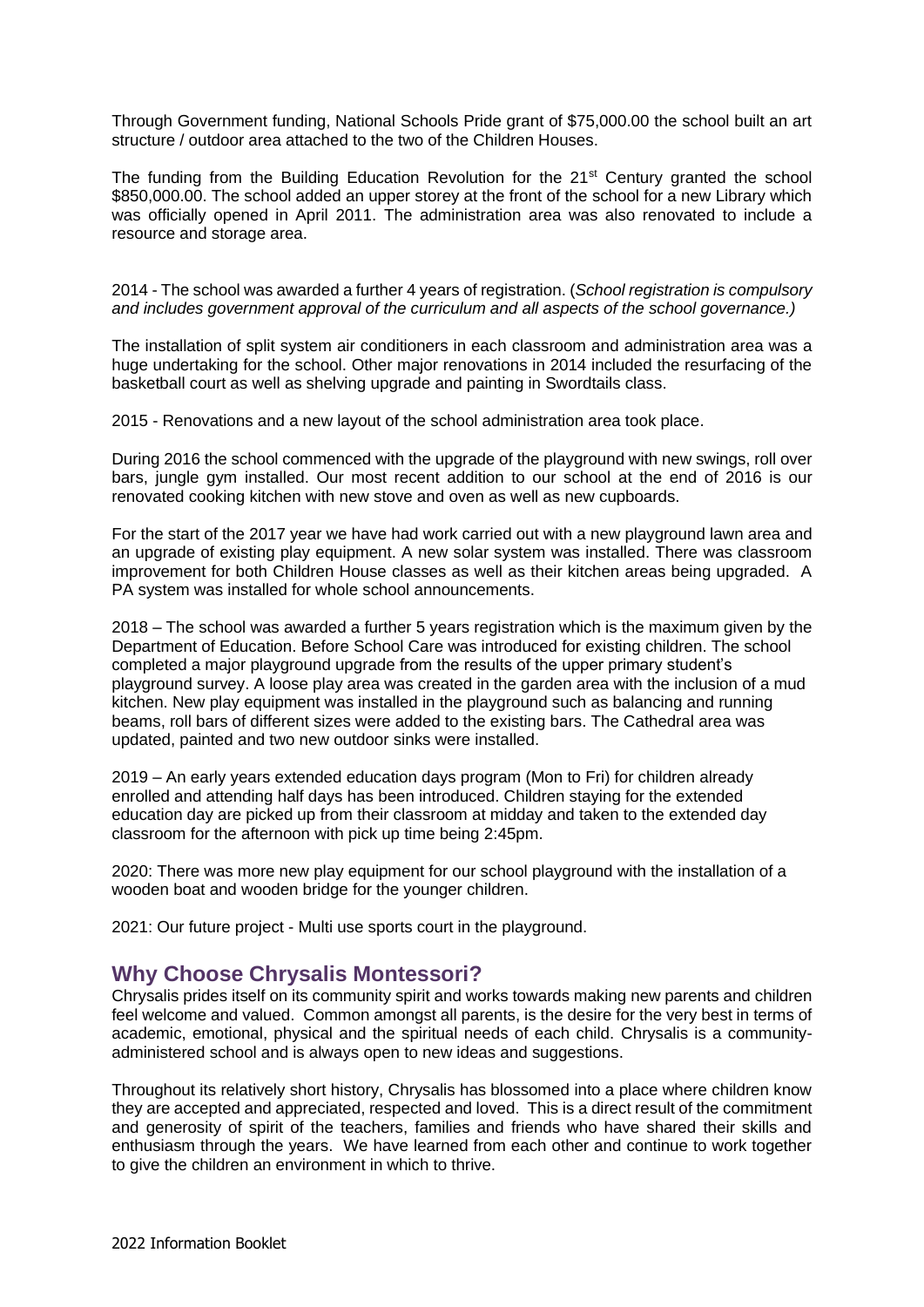Through Government funding, National Schools Pride grant of \$75,000.00 the school built an art structure / outdoor area attached to the two of the Children Houses.

The funding from the Building Education Revolution for the 21<sup>st</sup> Century granted the school \$850,000.00. The school added an upper storey at the front of the school for a new Library which was officially opened in April 2011. The administration area was also renovated to include a resource and storage area.

2014 - The school was awarded a further 4 years of registration. (*School registration is compulsory and includes government approval of the curriculum and all aspects of the school governance.)*

The installation of split system air conditioners in each classroom and administration area was a huge undertaking for the school. Other major renovations in 2014 included the resurfacing of the basketball court as well as shelving upgrade and painting in Swordtails class.

2015 - Renovations and a new layout of the school administration area took place.

During 2016 the school commenced with the upgrade of the playground with new swings, roll over bars, jungle gym installed. Our most recent addition to our school at the end of 2016 is our renovated cooking kitchen with new stove and oven as well as new cupboards.

For the start of the 2017 year we have had work carried out with a new playground lawn area and an upgrade of existing play equipment. A new solar system was installed. There was classroom improvement for both Children House classes as well as their kitchen areas being upgraded. A PA system was installed for whole school announcements.

2018 – The school was awarded a further 5 years registration which is the maximum given by the Department of Education. Before School Care was introduced for existing children. The school completed a major playground upgrade from the results of the upper primary student's playground survey. A loose play area was created in the garden area with the inclusion of a mud kitchen. New play equipment was installed in the playground such as balancing and running beams, roll bars of different sizes were added to the existing bars. The Cathedral area was updated, painted and two new outdoor sinks were installed.

2019 – An early years extended education days program (Mon to Fri) for children already enrolled and attending half days has been introduced. Children staying for the extended education day are picked up from their classroom at midday and taken to the extended day classroom for the afternoon with pick up time being 2:45pm.

2020: There was more new play equipment for our school playground with the installation of a wooden boat and wooden bridge for the younger children.

2021: Our future project - Multi use sports court in the playground.

#### **Why Choose Chrysalis Montessori?**

Chrysalis prides itself on its community spirit and works towards making new parents and children feel welcome and valued. Common amongst all parents, is the desire for the very best in terms of academic, emotional, physical and the spiritual needs of each child. Chrysalis is a communityadministered school and is always open to new ideas and suggestions.

Throughout its relatively short history, Chrysalis has blossomed into a place where children know they are accepted and appreciated, respected and loved. This is a direct result of the commitment and generosity of spirit of the teachers, families and friends who have shared their skills and enthusiasm through the years. We have learned from each other and continue to work together to give the children an environment in which to thrive.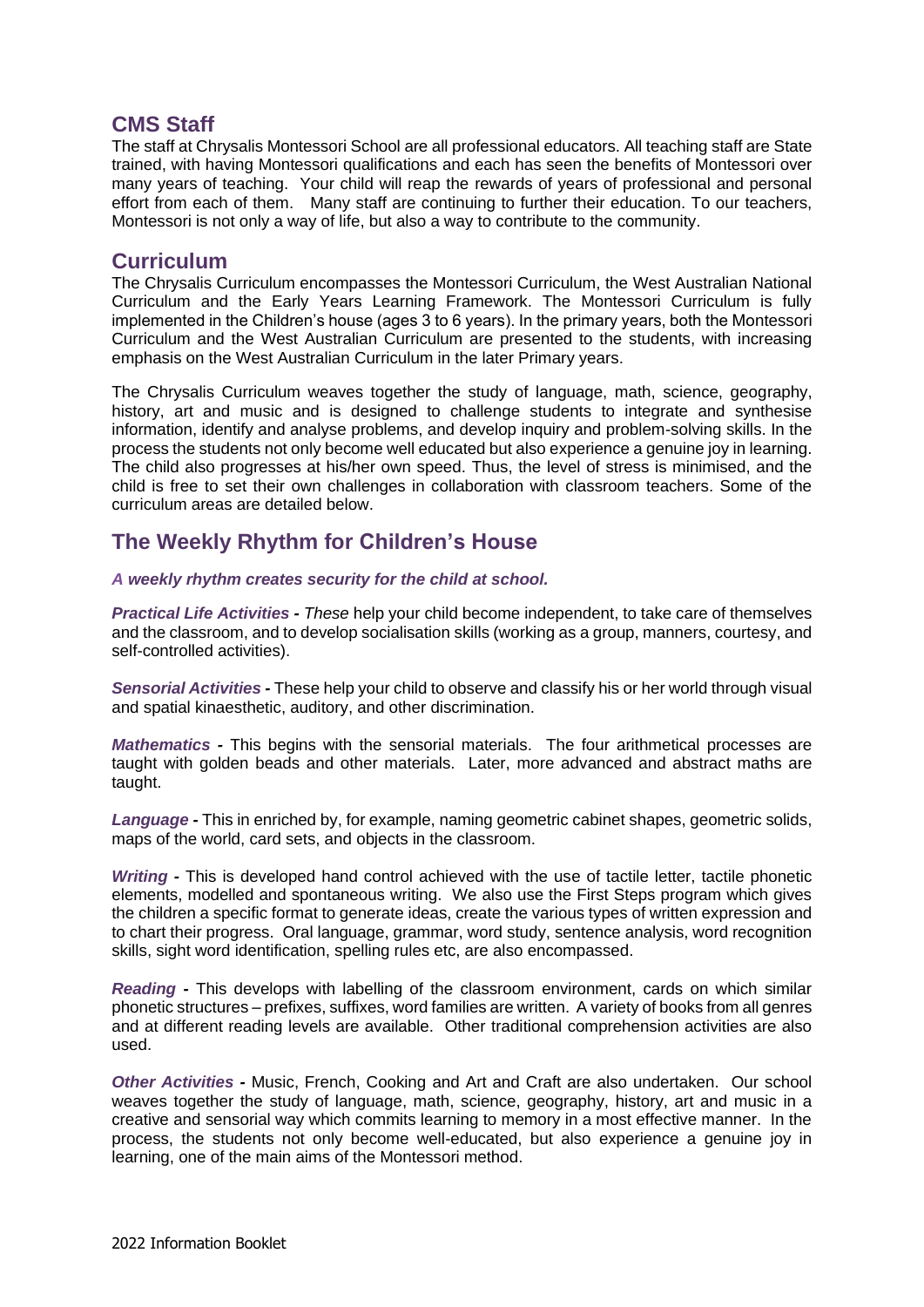#### **CMS Staff**

The staff at Chrysalis Montessori School are all professional educators. All teaching staff are State trained, with having Montessori qualifications and each has seen the benefits of Montessori over many years of teaching. Your child will reap the rewards of years of professional and personal effort from each of them. Many staff are continuing to further their education. To our teachers, Montessori is not only a way of life, but also a way to contribute to the community.

#### **Curriculum**

The Chrysalis Curriculum encompasses the Montessori Curriculum, the West Australian National Curriculum and the Early Years Learning Framework. The Montessori Curriculum is fully implemented in the Children's house (ages 3 to 6 years). In the primary years, both the Montessori Curriculum and the West Australian Curriculum are presented to the students, with increasing emphasis on the West Australian Curriculum in the later Primary years.

The Chrysalis Curriculum weaves together the study of language, math, science, geography, history, art and music and is designed to challenge students to integrate and synthesise information, identify and analyse problems, and develop inquiry and problem-solving skills. In the process the students not only become well educated but also experience a genuine joy in learning. The child also progresses at his/her own speed. Thus, the level of stress is minimised, and the child is free to set their own challenges in collaboration with classroom teachers. Some of the curriculum areas are detailed below.

#### **The Weekly Rhythm for Children's House**

#### *A weekly rhythm creates security for the child at school.*

*Practical Life Activities - These* help your child become independent, to take care of themselves and the classroom, and to develop socialisation skills (working as a group, manners, courtesy, and self-controlled activities).

*Sensorial Activities -* These help your child to observe and classify his or her world through visual and spatial kinaesthetic, auditory, and other discrimination.

*Mathematics -* This begins with the sensorial materials. The four arithmetical processes are taught with golden beads and other materials. Later, more advanced and abstract maths are taught.

*Language -* This in enriched by, for example, naming geometric cabinet shapes, geometric solids, maps of the world, card sets, and objects in the classroom.

*Writing -* This is developed hand control achieved with the use of tactile letter, tactile phonetic elements, modelled and spontaneous writing. We also use the First Steps program which gives the children a specific format to generate ideas, create the various types of written expression and to chart their progress. Oral language, grammar, word study, sentence analysis, word recognition skills, sight word identification, spelling rules etc, are also encompassed.

*Reading -* This develops with labelling of the classroom environment, cards on which similar phonetic structures – prefixes, suffixes, word families are written. A variety of books from all genres and at different reading levels are available. Other traditional comprehension activities are also used.

*Other Activities -* Music, French, Cooking and Art and Craft are also undertaken. Our school weaves together the study of language, math, science, geography, history, art and music in a creative and sensorial way which commits learning to memory in a most effective manner. In the process, the students not only become well-educated, but also experience a genuine joy in learning, one of the main aims of the Montessori method.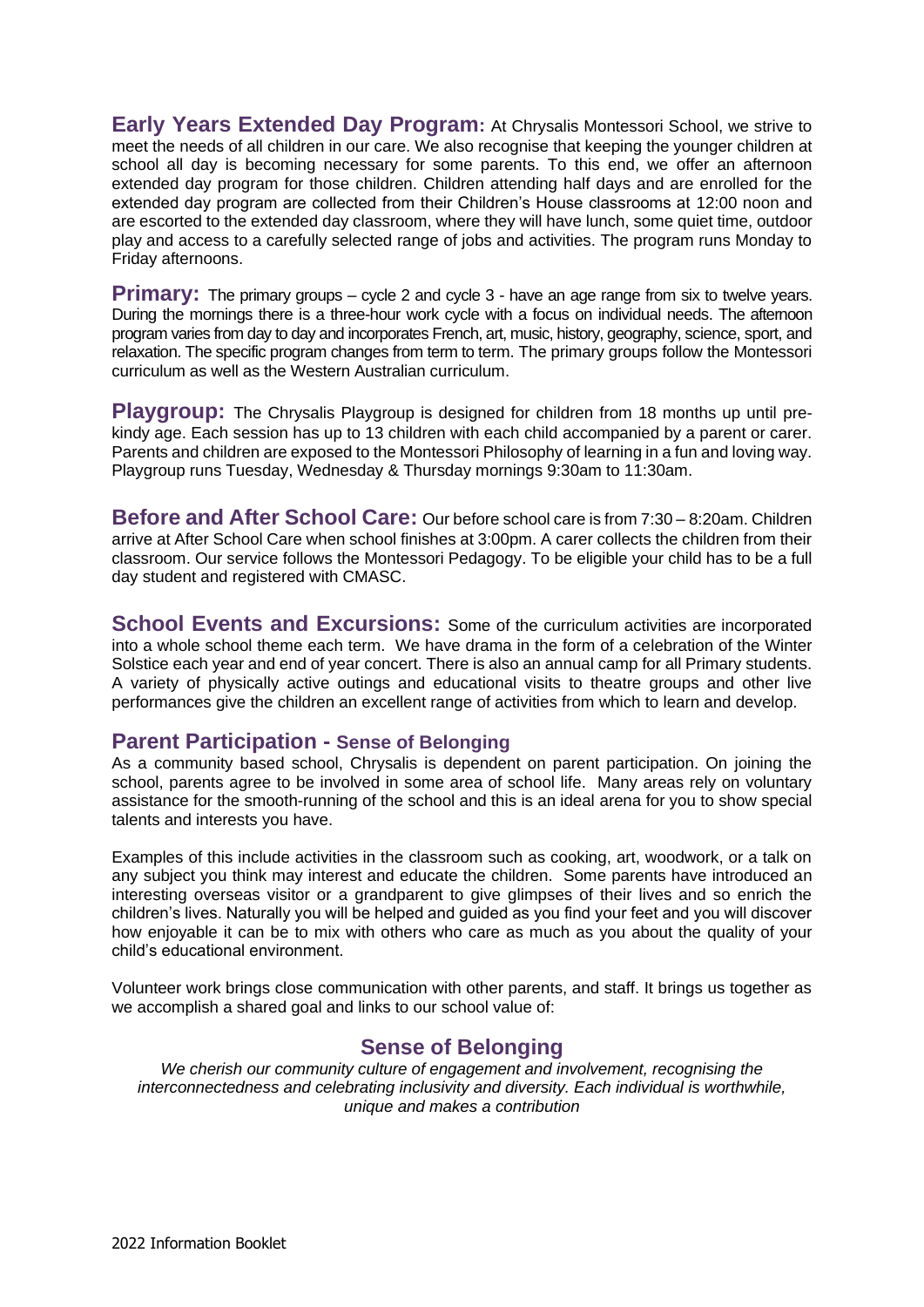**Early Years Extended Day Program:** At Chrysalis Montessori School, we strive to meet the needs of all children in our care. We also recognise that keeping the younger children at school all day is becoming necessary for some parents. To this end, we offer an afternoon extended day program for those children. Children attending half days and are enrolled for the extended day program are collected from their Children's House classrooms at 12:00 noon and are escorted to the extended day classroom, where they will have lunch, some quiet time, outdoor play and access to a carefully selected range of jobs and activities. The program runs Monday to Friday afternoons.

**Primary:** The primary groups – cycle 2 and cycle 3 - have an age range from six to twelve years. During the mornings there is a three-hour work cycle with a focus on individual needs. The afternoon program varies from day to day and incorporates French, art, music, history, geography, science, sport, and relaxation. The specific program changes from term to term. The primary groups follow the Montessori curriculum as well as the Western Australian curriculum.

**Playgroup:** The Chrysalis Playgroup is designed for children from 18 months up until prekindy age. Each session has up to 13 children with each child accompanied by a parent or carer. Parents and children are exposed to the Montessori Philosophy of learning in a fun and loving way. Playgroup runs Tuesday, Wednesday & Thursday mornings 9:30am to 11:30am.

**Before and After School Care:** Our before school care is from 7:30 – 8:20am. Children arrive at After School Care when school finishes at 3:00pm. A carer collects the children from their classroom. Our service follows the Montessori Pedagogy. To be eligible your child has to be a full day student and registered with CMASC.

**School Events and Excursions:** Some of the curriculum activities are incorporated into a whole school theme each term. We have drama in the form of a celebration of the Winter Solstice each year and end of year concert. There is also an annual camp for all Primary students. A variety of physically active outings and educational visits to theatre groups and other live performances give the children an excellent range of activities from which to learn and develop.

#### **Parent Participation - Sense of Belonging**

As a community based school, Chrysalis is dependent on parent participation. On joining the school, parents agree to be involved in some area of school life. Many areas rely on voluntary assistance for the smooth-running of the school and this is an ideal arena for you to show special talents and interests you have.

Examples of this include activities in the classroom such as cooking, art, woodwork, or a talk on any subject you think may interest and educate the children. Some parents have introduced an interesting overseas visitor or a grandparent to give glimpses of their lives and so enrich the children's lives. Naturally you will be helped and guided as you find your feet and you will discover how enjoyable it can be to mix with others who care as much as you about the quality of your child's educational environment.

Volunteer work brings close communication with other parents, and staff. It brings us together as we accomplish a shared goal and links to our school value of:

#### **Sense of Belonging**

*We cherish our community culture of engagement and involvement, recognising the interconnectedness and celebrating inclusivity and diversity. Each individual is worthwhile, unique and makes a contribution*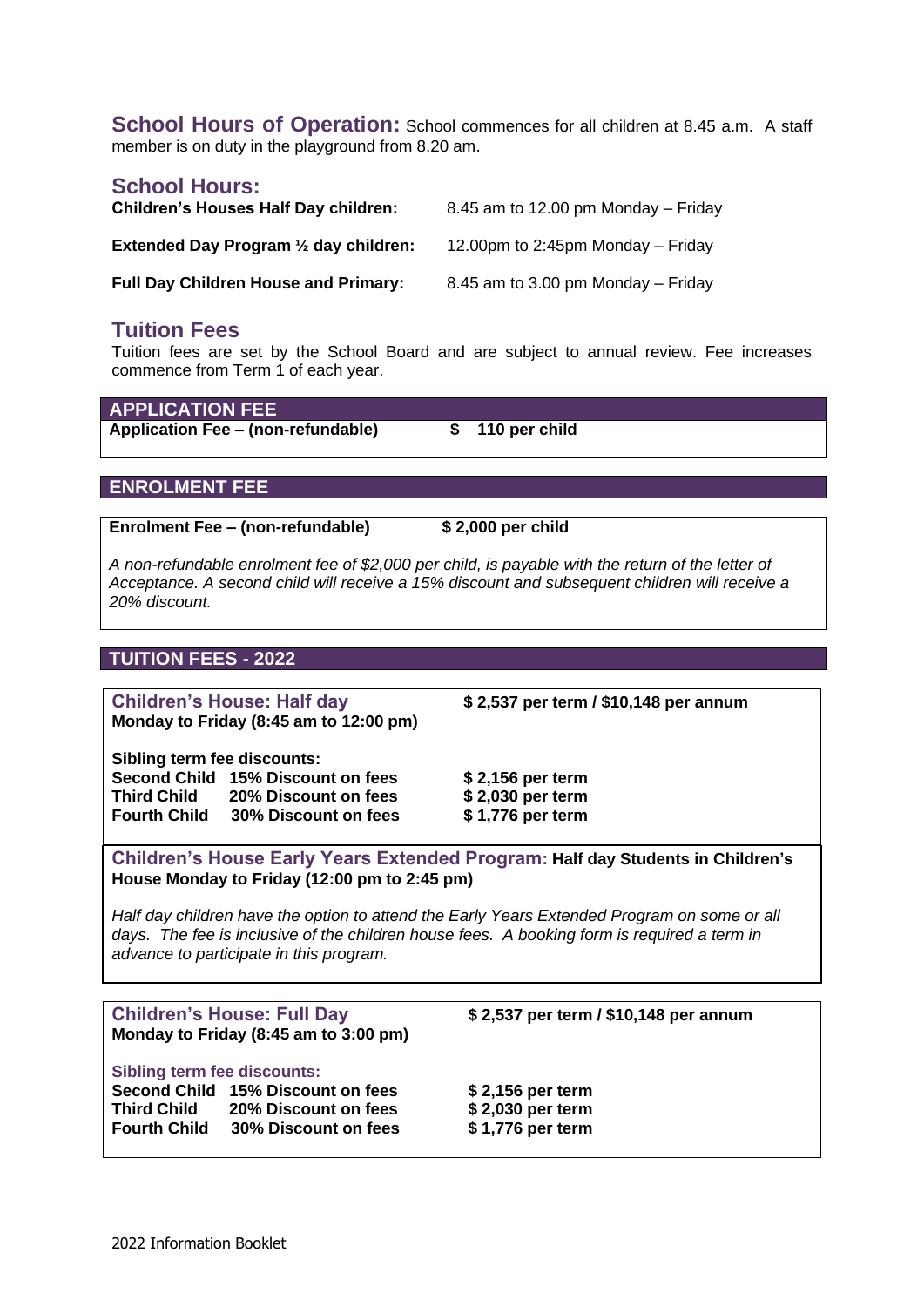**School Hours of Operation:** School commences for all children at 8.45 a.m. A staff member is on duty in the playground from 8.20 am.

#### **School Hours:**

| <b>Children's Houses Half Day children:</b>      | 8.45 am to 12.00 pm Monday $-$ Friday |
|--------------------------------------------------|---------------------------------------|
| Extended Day Program $\frac{1}{2}$ day children: | 12.00pm to 2:45pm Monday $-$ Friday   |
| <b>Full Day Children House and Primary:</b>      | 8.45 am to 3.00 pm Monday $-$ Friday  |

#### **Tuition Fees**

Tuition fees are set by the School Board and are subject to annual review. Fee increases commence from Term 1 of each year.

**APPLICATION FEE Application Fee – (non-refundable) \$ 110 per child**

#### **ENROLMENT FEE**

**Enrolment Fee – (non-refundable) \$ 2,000 per child**

*A non-refundable enrolment fee of \$2,000 per child, is payable with the return of the letter of Acceptance. A second child will receive a 15% discount and subsequent children will receive a 20% discount.*

#### **TUITION FEES - 2022**

**Children's House: Half day \$ 2,537 per term / \$10,148 per annum Monday to Friday (8:45 am to 12:00 pm)**

**Sibling term fee discounts: Second Child 15% Discount on fees \$ 2,156 per term Third Child 20% Discount on fees \$ 2,030 per term Fourth Child 30% Discount on fees \$ 1,776 per term**

**Children's House Early Years Extended Program: Half day Students in Children's House Monday to Friday (12:00 pm to 2:45 pm)** 

*Half day children have the option to attend the Early Years Extended Program on some or all*  days. The fee is inclusive of the children house fees. A booking form is required a *term* in *advance to participate in this program.*

| <b>Children's House: Full Day</b>  |                                       | \$2,537 per term / \$10,148 per annum |
|------------------------------------|---------------------------------------|---------------------------------------|
|                                    |                                       |                                       |
|                                    | Monday to Friday (8:45 am to 3:00 pm) |                                       |
|                                    |                                       |                                       |
| <b>Sibling term fee discounts:</b> |                                       |                                       |
|                                    |                                       |                                       |
|                                    | Second Child 15% Discount on fees     | \$2,156 per term                      |
| <b>Third Child</b>                 | 20% Discount on fees                  | \$2,030 per term                      |
|                                    |                                       |                                       |
| <b>Fourth Child</b>                | 30% Discount on fees                  | \$1,776 per term                      |
|                                    |                                       |                                       |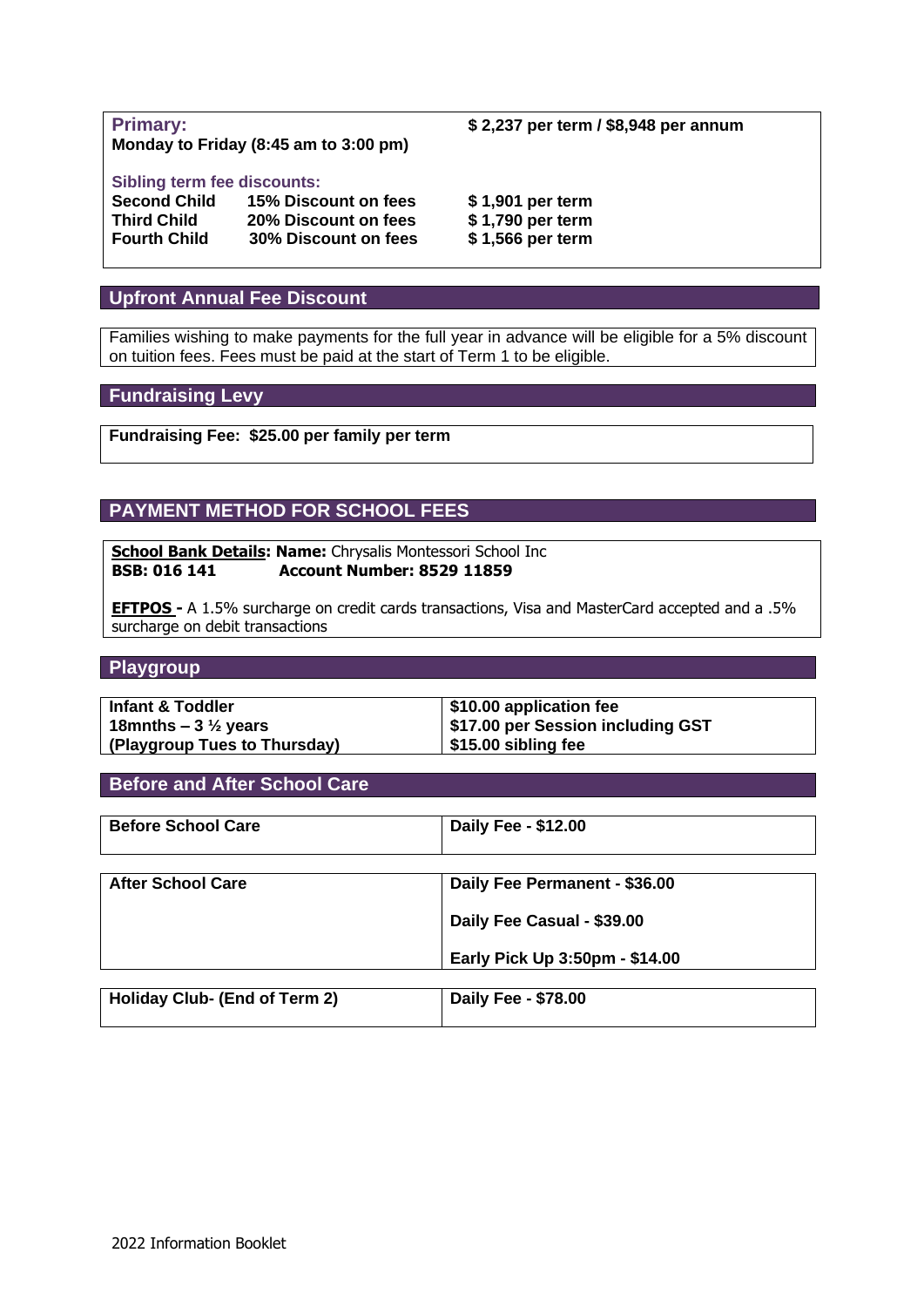**Monday to Friday (8:45 am to 3:00 pm)**

#### **Sibling term fee discounts:**

| <b>Second Child</b> | 15% Discount on fees | \$1,901 per term |
|---------------------|----------------------|------------------|
| <b>Third Child</b>  | 20% Discount on fees | \$1,790 per term |
| <b>Fourth Child</b> | 30% Discount on fees | \$1,566 per term |

#### **Upfront Annual Fee Discount**

Families wishing to make payments for the full year in advance will be eligible for a 5% discount on tuition fees. Fees must be paid at the start of Term 1 to be eligible.

#### **Fundraising Levy**

**Fundraising Fee: \$25.00 per family per term**

#### **PAYMENT METHOD FOR SCHOOL FEES**

**School Bank Details: Name: Chrysalis Montessori School Inc BSB: 016 141 Account Number: 8529 11859**

**EFTPOS -** A 1.5% surcharge on credit cards transactions, Visa and MasterCard accepted and a .5% surcharge on debit transactions

#### **Playgroup**

| <b>Infant &amp; Toddler</b>    | \$10.00 application fee                  |
|--------------------------------|------------------------------------------|
| 18mnths – $3\frac{1}{2}$ years | <b>\$17.00 per Session including GST</b> |
| (Playgroup Tues to Thursday)   | \$15.00 sibling fee                      |

#### **Before and After School Care**

| <b>Before School Care</b>     | Daily Fee - \$12.00            |
|-------------------------------|--------------------------------|
| <b>After School Care</b>      |                                |
|                               | Daily Fee Permanent - \$36.00  |
|                               | Daily Fee Casual - \$39.00     |
|                               | Early Pick Up 3:50pm - \$14.00 |
|                               |                                |
| Holiday Club- (End of Term 2) | Daily Fee - \$78.00            |

**Primary: \$ 2,237 per term / \$8,948 per annum**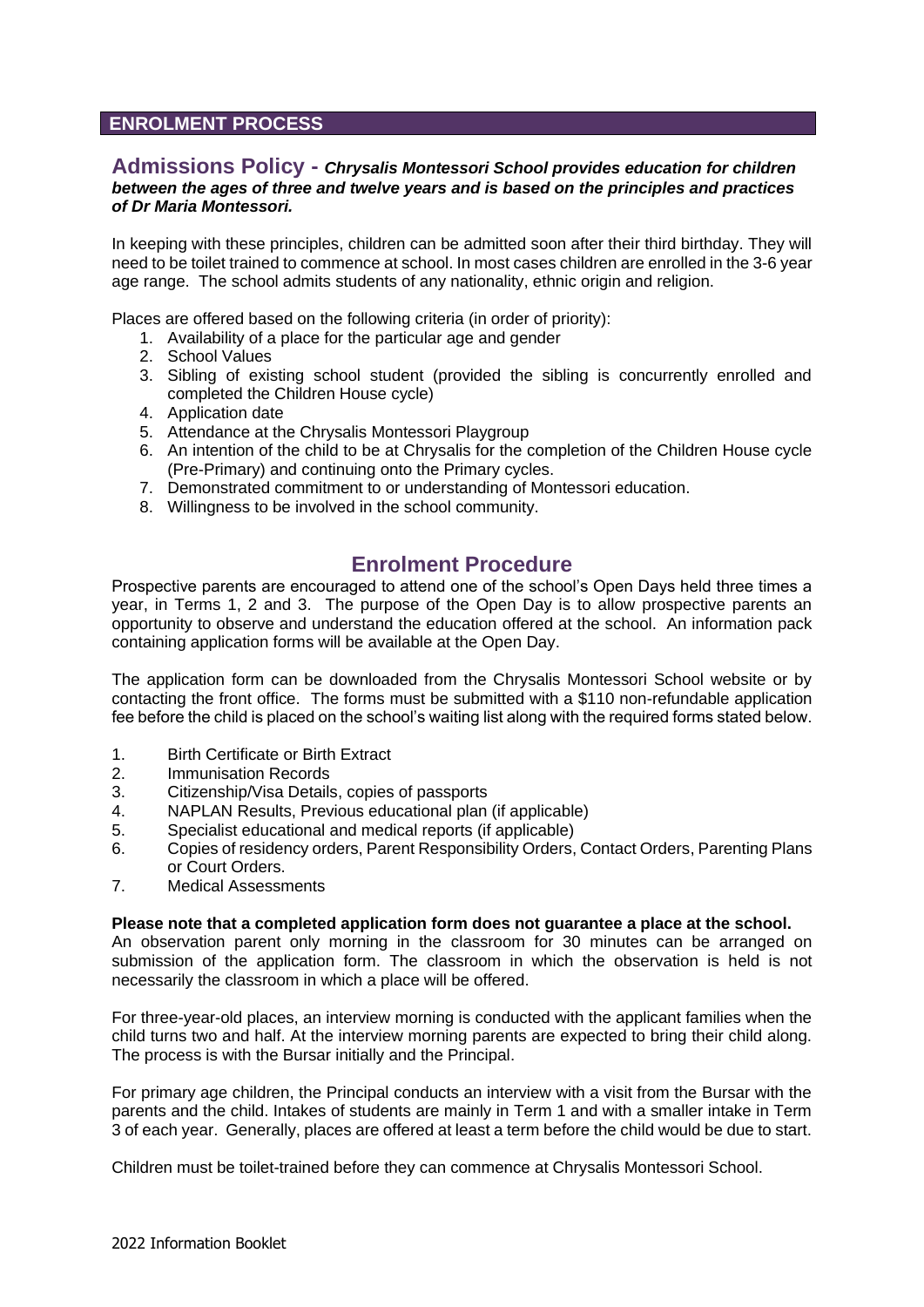#### **ENROLMENT PROCESS**

#### **Admissions Policy -** *Chrysalis Montessori School provides education for children between the ages of three and twelve years and is based on the principles and practices of Dr Maria Montessori.*

In keeping with these principles, children can be admitted soon after their third birthday. They will need to be toilet trained to commence at school. In most cases children are enrolled in the 3-6 year age range. The school admits students of any nationality, ethnic origin and religion.

Places are offered based on the following criteria (in order of priority):

- 1. Availability of a place for the particular age and gender
- 2. School Values
- 3. Sibling of existing school student (provided the sibling is concurrently enrolled and completed the Children House cycle)
- 4. Application date
- 5. Attendance at the Chrysalis Montessori Playgroup
- 6. An intention of the child to be at Chrysalis for the completion of the Children House cycle (Pre-Primary) and continuing onto the Primary cycles.
- 7. Demonstrated commitment to or understanding of Montessori education.
- 8. Willingness to be involved in the school community.

#### **Enrolment Procedure**

Prospective parents are encouraged to attend one of the school's Open Days held three times a year, in Terms 1, 2 and 3. The purpose of the Open Day is to allow prospective parents an opportunity to observe and understand the education offered at the school. An information pack containing application forms will be available at the Open Day.

The application form can be downloaded from the Chrysalis Montessori School website or by contacting the front office. The forms must be submitted with a \$110 non-refundable application fee before the child is placed on the school's waiting list along with the required forms stated below.

- 1. Birth Certificate or Birth Extract
- 2. Immunisation Records
- 3. Citizenship/Visa Details, copies of passports
- 4. NAPLAN Results, Previous educational plan (if applicable)
- 5. Specialist educational and medical reports (if applicable)
- 6. Copies of residency orders, Parent Responsibility Orders, Contact Orders, Parenting Plans or Court Orders.
- 7. Medical Assessments

#### **Please note that a completed application form does not guarantee a place at the school.**

An observation parent only morning in the classroom for 30 minutes can be arranged on submission of the application form. The classroom in which the observation is held is not necessarily the classroom in which a place will be offered.

For three-year-old places, an interview morning is conducted with the applicant families when the child turns two and half. At the interview morning parents are expected to bring their child along. The process is with the Bursar initially and the Principal.

For primary age children, the Principal conducts an interview with a visit from the Bursar with the parents and the child. Intakes of students are mainly in Term 1 and with a smaller intake in Term 3 of each year. Generally, places are offered at least a term before the child would be due to start.

Children must be toilet-trained before they can commence at Chrysalis Montessori School.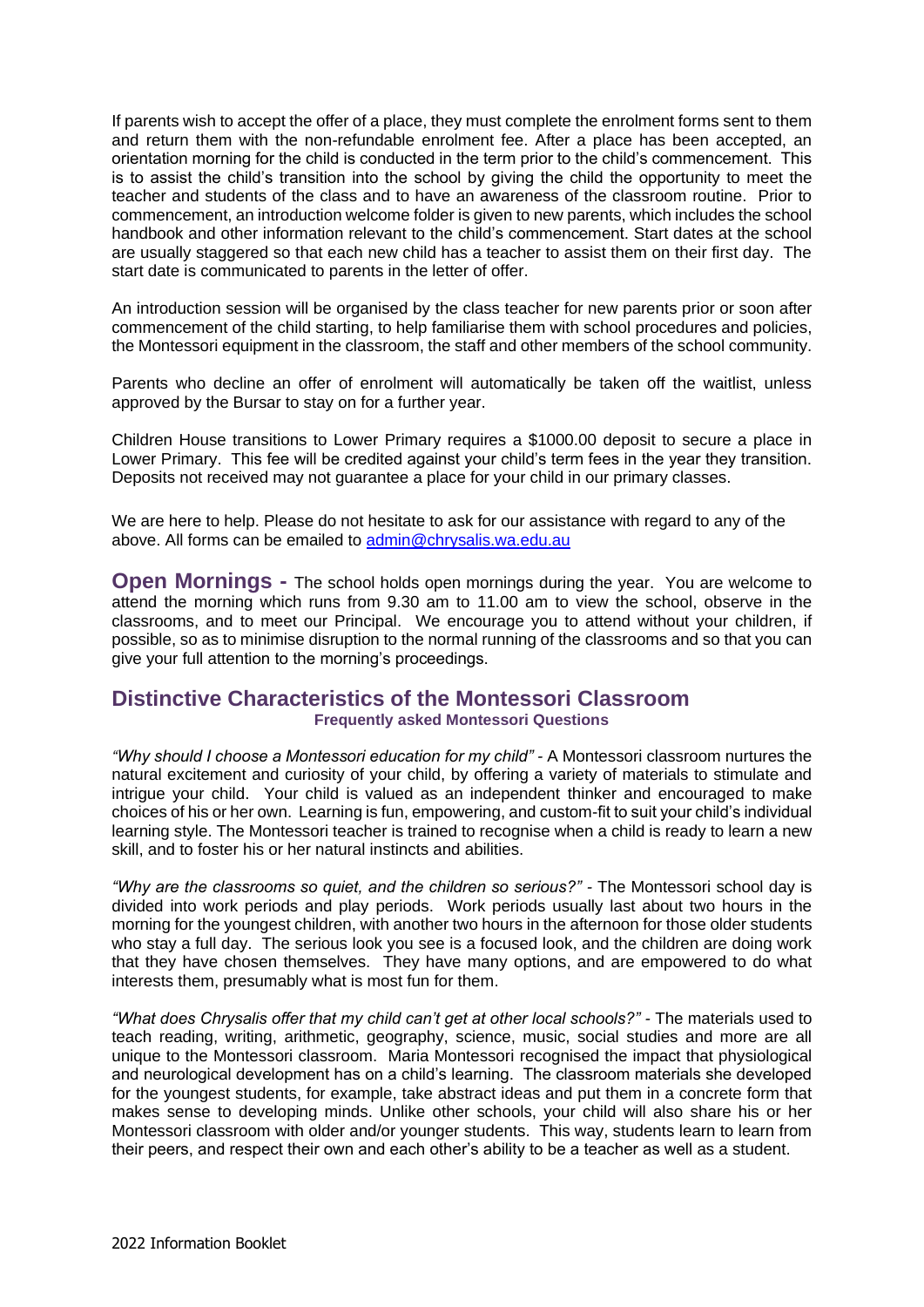If parents wish to accept the offer of a place, they must complete the enrolment forms sent to them and return them with the non-refundable enrolment fee. After a place has been accepted, an orientation morning for the child is conducted in the term prior to the child's commencement. This is to assist the child's transition into the school by giving the child the opportunity to meet the teacher and students of the class and to have an awareness of the classroom routine. Prior to commencement, an introduction welcome folder is given to new parents, which includes the school handbook and other information relevant to the child's commencement. Start dates at the school are usually staggered so that each new child has a teacher to assist them on their first day. The start date is communicated to parents in the letter of offer.

An introduction session will be organised by the class teacher for new parents prior or soon after commencement of the child starting, to help familiarise them with school procedures and policies, the Montessori equipment in the classroom, the staff and other members of the school community.

Parents who decline an offer of enrolment will automatically be taken off the waitlist, unless approved by the Bursar to stay on for a further year.

Children House transitions to Lower Primary requires a \$1000.00 deposit to secure a place in Lower Primary. This fee will be credited against your child's term fees in the year they transition. Deposits not received may not guarantee a place for your child in our primary classes.

We are here to help. Please do not hesitate to ask for our assistance with regard to any of the above. All forms can be emailed to [admin@chrysalis.wa.edu.au](mailto:admin@chrysalis.wa.edu.au)

**Open Mornings -** The school holds open mornings during the year. You are welcome to attend the morning which runs from 9.30 am to 11.00 am to view the school, observe in the classrooms, and to meet our Principal. We encourage you to attend without your children, if possible, so as to minimise disruption to the normal running of the classrooms and so that you can give your full attention to the morning's proceedings.

#### **Distinctive Characteristics of the Montessori Classroom Frequently asked Montessori Questions**

*"Why should I choose a Montessori education for my child" -* A Montessori classroom nurtures the natural excitement and curiosity of your child, by offering a variety of materials to stimulate and intrigue your child. Your child is valued as an independent thinker and encouraged to make choices of his or her own. Learning is fun, empowering, and custom-fit to suit your child's individual learning style. The Montessori teacher is trained to recognise when a child is ready to learn a new skill, and to foster his or her natural instincts and abilities.

*"Why are the classrooms so quiet, and the children so serious?" -* The Montessori school day is divided into work periods and play periods. Work periods usually last about two hours in the morning for the youngest children, with another two hours in the afternoon for those older students who stay a full day. The serious look you see is a focused look, and the children are doing work that they have chosen themselves. They have many options, and are empowered to do what interests them, presumably what is most fun for them.

*"What does Chrysalis offer that my child can't get at other local schools?" -* The materials used to teach reading, writing, arithmetic, geography, science, music, social studies and more are all unique to the Montessori classroom. Maria Montessori recognised the impact that physiological and neurological development has on a child's learning. The classroom materials she developed for the youngest students, for example, take abstract ideas and put them in a concrete form that makes sense to developing minds. Unlike other schools, your child will also share his or her Montessori classroom with older and/or younger students. This way, students learn to learn from their peers, and respect their own and each other's ability to be a teacher as well as a student.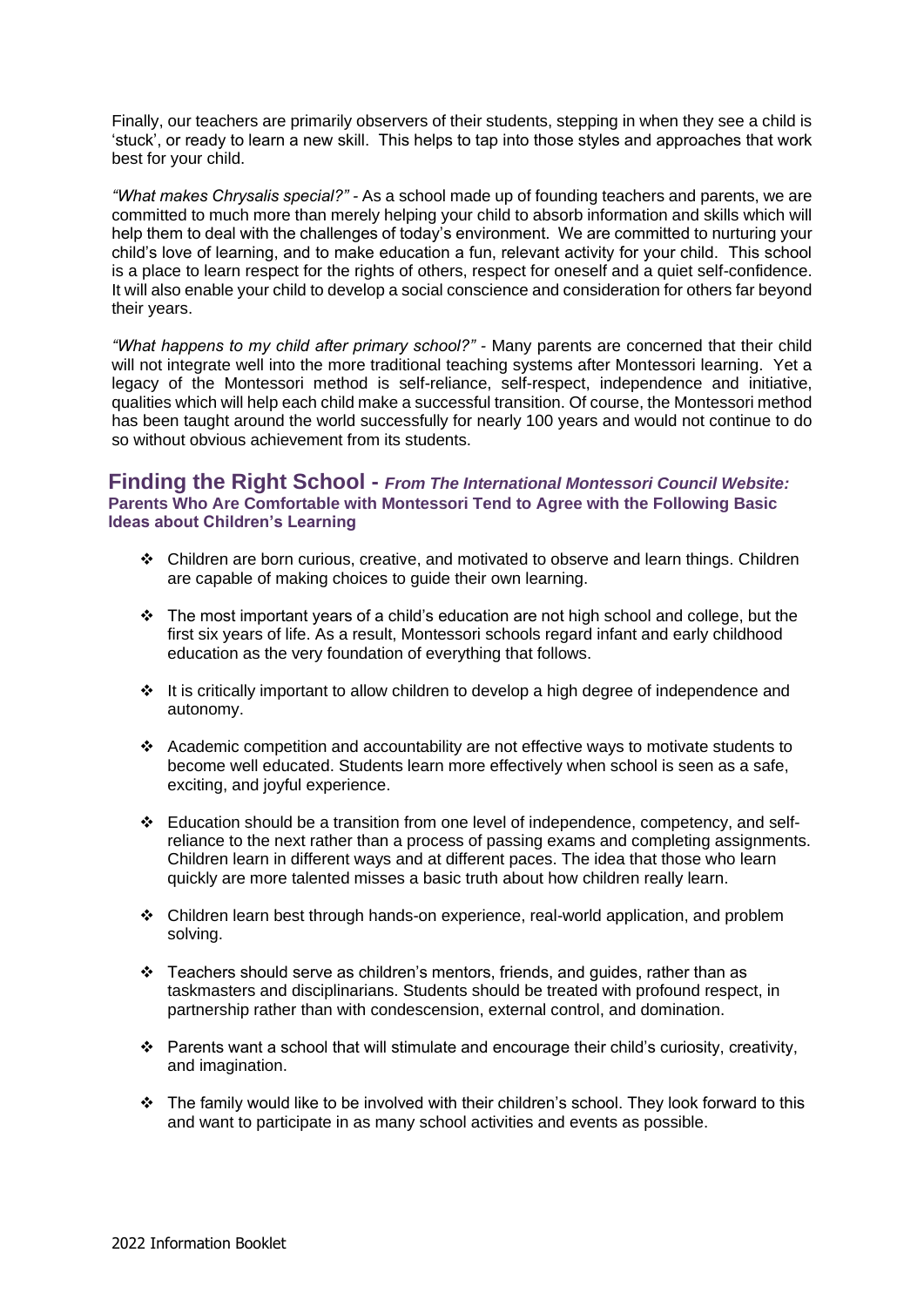Finally, our teachers are primarily observers of their students, stepping in when they see a child is 'stuck', or ready to learn a new skill. This helps to tap into those styles and approaches that work best for your child.

*"What makes Chrysalis special?" -* As a school made up of founding teachers and parents, we are committed to much more than merely helping your child to absorb information and skills which will help them to deal with the challenges of today's environment. We are committed to nurturing your child's love of learning, and to make education a fun, relevant activity for your child. This school is a place to learn respect for the rights of others, respect for oneself and a quiet self-confidence. It will also enable your child to develop a social conscience and consideration for others far beyond their years.

*"What happens to my child after primary school?" -* Many parents are concerned that their child will not integrate well into the more traditional teaching systems after Montessori learning. Yet a legacy of the Montessori method is self-reliance, self-respect, independence and initiative, qualities which will help each child make a successful transition. Of course, the Montessori method has been taught around the world successfully for nearly 100 years and would not continue to do so without obvious achievement from its students.

#### **Finding the Right School -** *From The International Montessori Council Website:*  **Parents Who Are Comfortable with Montessori Tend to Agree with the Following Basic Ideas about Children's Learning**

- ❖ Children are born curious, creative, and motivated to observe and learn things. Children are capable of making choices to guide their own learning.
- ❖ The most important years of a child's education are not high school and college, but the first six years of life. As a result, Montessori schools regard infant and early childhood education as the very foundation of everything that follows.
- ❖ It is critically important to allow children to develop a high degree of independence and autonomy.
- ❖ Academic competition and accountability are not effective ways to motivate students to become well educated. Students learn more effectively when school is seen as a safe, exciting, and joyful experience.
- ❖ Education should be a transition from one level of independence, competency, and selfreliance to the next rather than a process of passing exams and completing assignments. Children learn in different ways and at different paces. The idea that those who learn quickly are more talented misses a basic truth about how children really learn.
- ❖ Children learn best through hands-on experience, real-world application, and problem solving.
- ❖ Teachers should serve as children's mentors, friends, and guides, rather than as taskmasters and disciplinarians. Students should be treated with profound respect, in partnership rather than with condescension, external control, and domination.
- ❖ Parents want a school that will stimulate and encourage their child's curiosity, creativity, and imagination.
- ❖ The family would like to be involved with their children's school. They look forward to this and want to participate in as many school activities and events as possible.